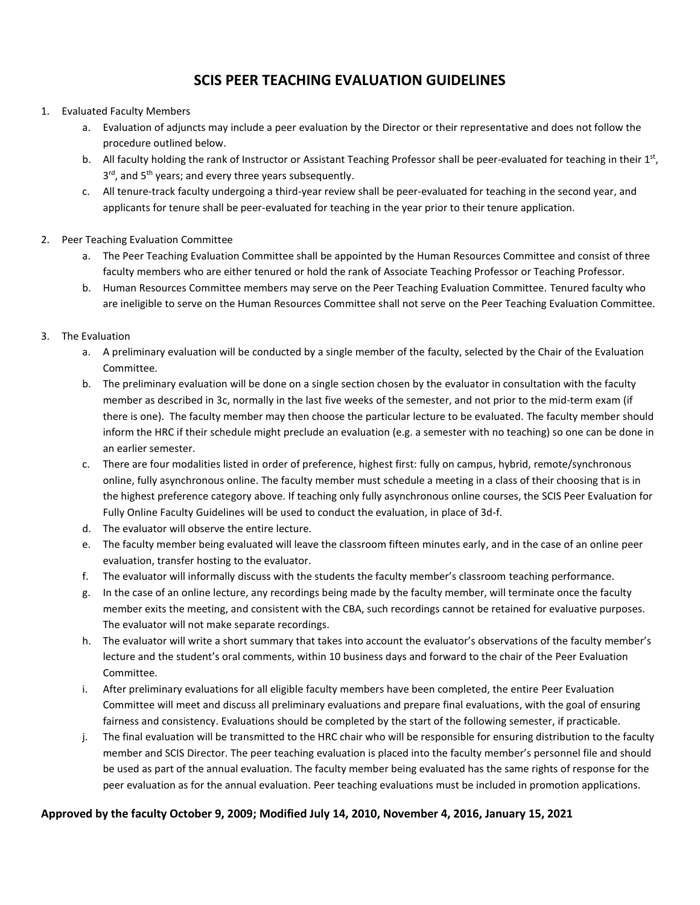## **SCIS PEER TEACHING EVALUATION GUIDELINES**

#### 1. Evaluated Faculty Members

- a. Evaluation of adjuncts may include a peer evaluation by the Director or their representative and does not follow the procedure outlined below.
- b. All faculty holding the rank of Instructor or Assistant Teaching Professor shall be peer-evaluated for teaching in their 1st, 3<sup>rd</sup>, and 5<sup>th</sup> years; and every three years subsequently.
- c. All tenure-track faculty undergoing a third-year review shall be peer-evaluated for teaching in the second year, and applicants for tenure shall be peer-evaluated for teaching in the year prior to their tenure application.
- 2. Peer Teaching Evaluation Committee
	- a. The Peer Teaching Evaluation Committee shall be appointed by the Human Resources Committee and consist of three faculty members who are either tenured or hold the rank of Associate Teaching Professor or Teaching Professor.
	- b. Human Resources Committee members may serve on the Peer Teaching Evaluation Committee. Tenured faculty who are ineligible to serve on the Human Resources Committee shall not serve on the Peer Teaching Evaluation Committee.

#### 3. The Evaluation

- a. A preliminary evaluation will be conducted by a single member of the faculty, selected by the Chair of the Evaluation Committee.
- b. The preliminary evaluation will be done on a single section chosen by the evaluator in consultation with the faculty member as described in 3c, normally in the last five weeks of the semester, and not prior to the mid-term exam (if there is one). The faculty member may then choose the particular lecture to be evaluated. The faculty member should inform the HRC if their schedule might preclude an evaluation (e.g. a semester with no teaching) so one can be done in an earlier semester.
- c. There are four modalities listed in order of preference, highest first: fully on campus, hybrid, remote/synchronous online, fully asynchronous online. The faculty member must schedule a meeting in a class of their choosing that is in the highest preference category above. If teaching only fully asynchronous online courses, the SCIS Peer Evaluation for Fully Online Faculty Guidelines will be used to conduct the evaluation, in place of 3d-f.
- d. The evaluator will observe the entire lecture.
- e. The faculty member being evaluated will leave the classroom fifteen minutes early, and in the case of an online peer evaluation, transfer hosting to the evaluator.
- f. The evaluator will informally discuss with the students the faculty member's classroom teaching performance.
- g. In the case of an online lecture, any recordings being made by the faculty member, will terminate once the faculty member exits the meeting, and consistent with the CBA, such recordings cannot be retained for evaluative purposes. The evaluator will not make separate recordings.
- h. The evaluator will write a short summary that takes into account the evaluator's observations of the faculty member's lecture and the student's oral comments, within 10 business days and forward to the chair of the Peer Evaluation Committee.
- i. After preliminary evaluations for all eligible faculty members have been completed, the entire Peer Evaluation Committee will meet and discuss all preliminary evaluations and prepare final evaluations, with the goal of ensuring fairness and consistency. Evaluations should be completed by the start of the following semester, if practicable.
- j. The final evaluation will be transmitted to the HRC chair who will be responsible for ensuring distribution to the faculty member and SCIS Director. The peer teaching evaluation is placed into the faculty member's personnel file and should be used as part of the annual evaluation. The faculty member being evaluated has the same rights of response for the peer evaluation as for the annual evaluation. Peer teaching evaluations must be included in promotion applications.

### **Approved by the faculty October 9, 2009; Modified July 14, 2010, November 4, 2016, January 15, 2021**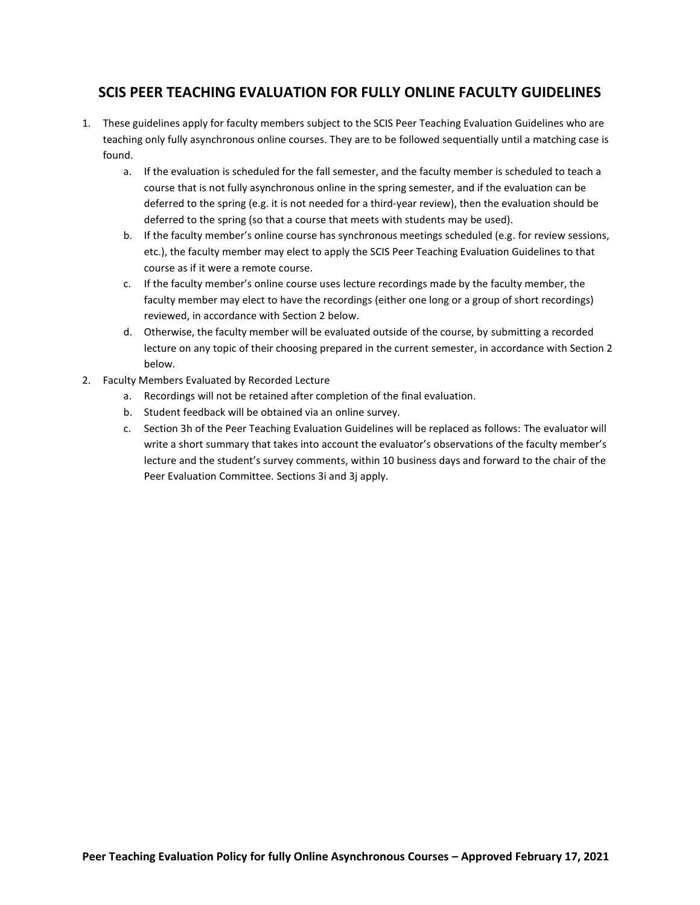### **SCIS PEER TEACHING EVALUATION FOR FULLY ONLINE FACULTY GUIDELINES**

- 1. These guidelines apply for faculty members subject to the SCIS Peer Teaching Evaluation Guidelines who are teaching only fully asynchronous online courses. They are to be followed sequentially until a matching case is found.
	- a. If the evaluation is scheduled for the fall semester, and the faculty member is scheduled to teach a course that is not fully asynchronous online in the spring semester, and if the evaluation can be deferred to the spring (e.g. it is not needed for a third-year review), then the evaluation should be deferred to the spring (so that a course that meets with students may be used).
	- b. If the faculty member's online course has synchronous meetings scheduled (e.g. for review sessions, etc.), the faculty member may elect to apply the SCIS Peer Teaching Evaluation Guidelines to that course as if it were a remote course.
	- c. If the faculty member's online course uses lecture recordings made by the faculty member, the faculty member may elect to have the recordings (either one long or a group of short recordings) reviewed, in accordance with Section 2 below.
	- d. Otherwise, the faculty member will be evaluated outside of the course, by submitting a recorded lecture on any topic of their choosing prepared in the current semester, in accordance with Section 2 below.
- 2. Faculty Members Evaluated by Recorded Lecture
	- a. Recordings will not be retained after completion of the final evaluation.
	- b. Student feedback will be obtained via an online survey.
	- c. Section 3h of the Peer Teaching Evaluation Guidelines will be replaced as follows: The evaluator will write a short summary that takes into account the evaluator's observations of the faculty member's lecture and the student's survey comments, within 10 business days and forward to the chair of the Peer Evaluation Committee. Sections 3i and 3j apply.